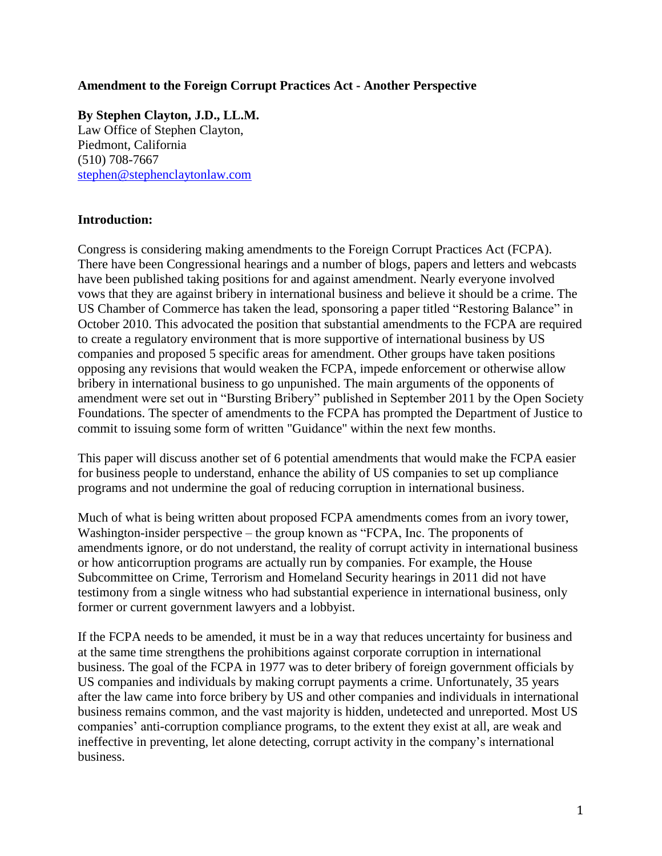## **Amendment to the Foreign Corrupt Practices Act - Another Perspective**

**By Stephen Clayton, J.D., LL.M.** Law Office of Stephen Clayton, Piedmont, California (510) 708-7667 [stephen@stephenclaytonlaw.com](mailto:stephen@stephenclaytonlaw.com)

## **Introduction:**

Congress is considering making amendments to the Foreign Corrupt Practices Act (FCPA). There have been Congressional hearings and a number of blogs, papers and letters and webcasts have been published taking positions for and against amendment. Nearly everyone involved vows that they are against bribery in international business and believe it should be a crime. The US Chamber of Commerce has taken the lead, sponsoring a paper titled "Restoring Balance" in October 2010. This advocated the position that substantial amendments to the FCPA are required to create a regulatory environment that is more supportive of international business by US companies and proposed 5 specific areas for amendment. Other groups have taken positions opposing any revisions that would weaken the FCPA, impede enforcement or otherwise allow bribery in international business to go unpunished. The main arguments of the opponents of amendment were set out in "Bursting Bribery" published in September 2011 by the Open Society Foundations. The specter of amendments to the FCPA has prompted the Department of Justice to commit to issuing some form of written "Guidance" within the next few months.

This paper will discuss another set of 6 potential amendments that would make the FCPA easier for business people to understand, enhance the ability of US companies to set up compliance programs and not undermine the goal of reducing corruption in international business.

Much of what is being written about proposed FCPA amendments comes from an ivory tower, Washington-insider perspective – the group known as "FCPA, Inc. The proponents of amendments ignore, or do not understand, the reality of corrupt activity in international business or how anticorruption programs are actually run by companies. For example, the House Subcommittee on Crime, Terrorism and Homeland Security hearings in 2011 did not have testimony from a single witness who had substantial experience in international business, only former or current government lawyers and a lobbyist.

If the FCPA needs to be amended, it must be in a way that reduces uncertainty for business and at the same time strengthens the prohibitions against corporate corruption in international business. The goal of the FCPA in 1977 was to deter bribery of foreign government officials by US companies and individuals by making corrupt payments a crime. Unfortunately, 35 years after the law came into force bribery by US and other companies and individuals in international business remains common, and the vast majority is hidden, undetected and unreported. Most US companies' anti-corruption compliance programs, to the extent they exist at all, are weak and ineffective in preventing, let alone detecting, corrupt activity in the company's international business.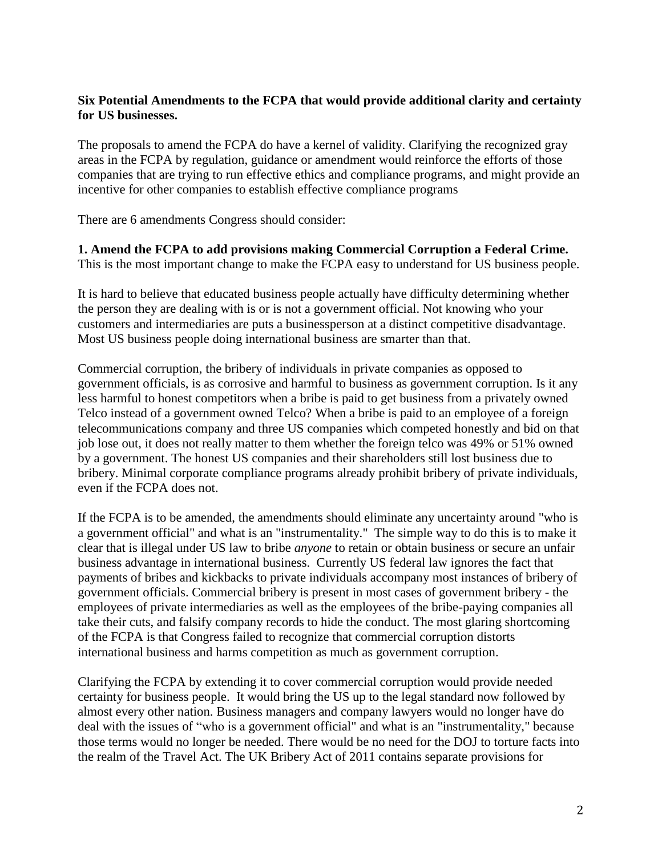# **Six Potential Amendments to the FCPA that would provide additional clarity and certainty for US businesses.**

The proposals to amend the FCPA do have a kernel of validity. Clarifying the recognized gray areas in the FCPA by regulation, guidance or amendment would reinforce the efforts of those companies that are trying to run effective ethics and compliance programs, and might provide an incentive for other companies to establish effective compliance programs

There are 6 amendments Congress should consider:

**1. Amend the FCPA to add provisions making Commercial Corruption a Federal Crime.** This is the most important change to make the FCPA easy to understand for US business people.

It is hard to believe that educated business people actually have difficulty determining whether the person they are dealing with is or is not a government official. Not knowing who your customers and intermediaries are puts a businessperson at a distinct competitive disadvantage. Most US business people doing international business are smarter than that.

Commercial corruption, the bribery of individuals in private companies as opposed to government officials, is as corrosive and harmful to business as government corruption. Is it any less harmful to honest competitors when a bribe is paid to get business from a privately owned Telco instead of a government owned Telco? When a bribe is paid to an employee of a foreign telecommunications company and three US companies which competed honestly and bid on that job lose out, it does not really matter to them whether the foreign telco was 49% or 51% owned by a government. The honest US companies and their shareholders still lost business due to bribery. Minimal corporate compliance programs already prohibit bribery of private individuals, even if the FCPA does not.

If the FCPA is to be amended, the amendments should eliminate any uncertainty around "who is a government official" and what is an "instrumentality." The simple way to do this is to make it clear that is illegal under US law to bribe *anyone* to retain or obtain business or secure an unfair business advantage in international business. Currently US federal law ignores the fact that payments of bribes and kickbacks to private individuals accompany most instances of bribery of government officials. Commercial bribery is present in most cases of government bribery - the employees of private intermediaries as well as the employees of the bribe-paying companies all take their cuts, and falsify company records to hide the conduct. The most glaring shortcoming of the FCPA is that Congress failed to recognize that commercial corruption distorts international business and harms competition as much as government corruption.

Clarifying the FCPA by extending it to cover commercial corruption would provide needed certainty for business people. It would bring the US up to the legal standard now followed by almost every other nation. Business managers and company lawyers would no longer have do deal with the issues of "who is a government official" and what is an "instrumentality," because those terms would no longer be needed. There would be no need for the DOJ to torture facts into the realm of the Travel Act. The UK Bribery Act of 2011 contains separate provisions for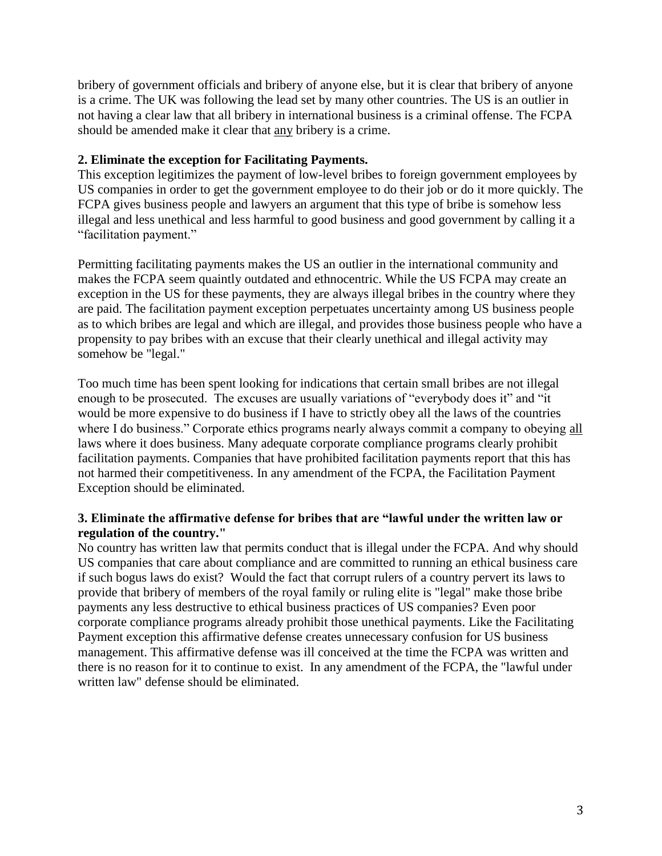bribery of government officials and bribery of anyone else, but it is clear that bribery of anyone is a crime. The UK was following the lead set by many other countries. The US is an outlier in not having a clear law that all bribery in international business is a criminal offense. The FCPA should be amended make it clear that any bribery is a crime.

# **2. Eliminate the exception for Facilitating Payments.**

This exception legitimizes the payment of low-level bribes to foreign government employees by US companies in order to get the government employee to do their job or do it more quickly. The FCPA gives business people and lawyers an argument that this type of bribe is somehow less illegal and less unethical and less harmful to good business and good government by calling it a "facilitation payment."

Permitting facilitating payments makes the US an outlier in the international community and makes the FCPA seem quaintly outdated and ethnocentric. While the US FCPA may create an exception in the US for these payments, they are always illegal bribes in the country where they are paid. The facilitation payment exception perpetuates uncertainty among US business people as to which bribes are legal and which are illegal, and provides those business people who have a propensity to pay bribes with an excuse that their clearly unethical and illegal activity may somehow be "legal."

Too much time has been spent looking for indications that certain small bribes are not illegal enough to be prosecuted. The excuses are usually variations of "everybody does it" and "it would be more expensive to do business if I have to strictly obey all the laws of the countries where I do business." Corporate ethics programs nearly always commit a company to obeying all laws where it does business. Many adequate corporate compliance programs clearly prohibit facilitation payments. Companies that have prohibited facilitation payments report that this has not harmed their competitiveness. In any amendment of the FCPA, the Facilitation Payment Exception should be eliminated.

# **3. Eliminate the affirmative defense for bribes that are "lawful under the written law or regulation of the country."**

No country has written law that permits conduct that is illegal under the FCPA. And why should US companies that care about compliance and are committed to running an ethical business care if such bogus laws do exist? Would the fact that corrupt rulers of a country pervert its laws to provide that bribery of members of the royal family or ruling elite is "legal" make those bribe payments any less destructive to ethical business practices of US companies? Even poor corporate compliance programs already prohibit those unethical payments. Like the Facilitating Payment exception this affirmative defense creates unnecessary confusion for US business management. This affirmative defense was ill conceived at the time the FCPA was written and there is no reason for it to continue to exist. In any amendment of the FCPA, the "lawful under written law" defense should be eliminated.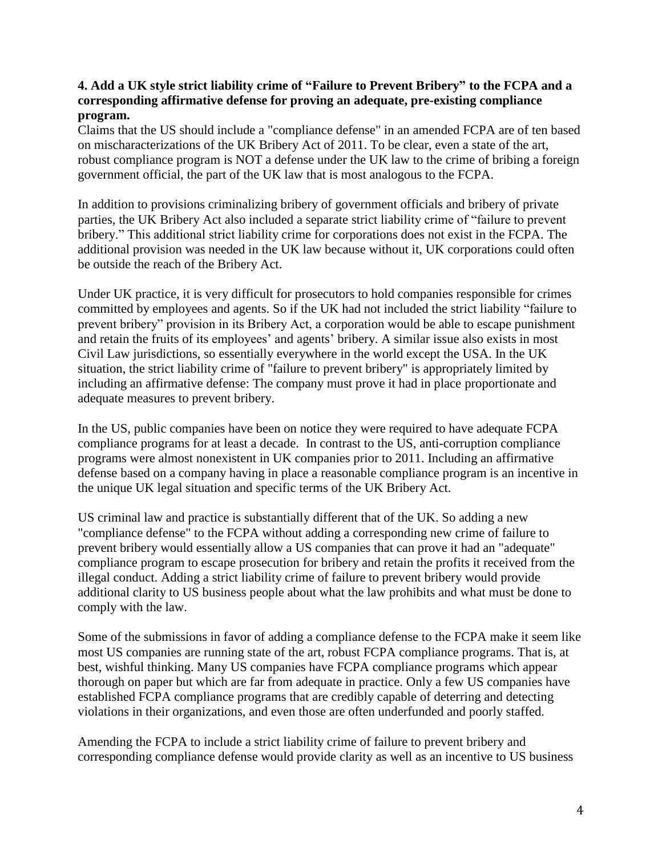## **4. Add a UK style strict liability crime of "Failure to Prevent Bribery" to the FCPA and a corresponding affirmative defense for proving an adequate, pre-existing compliance program.**

Claims that the US should include a "compliance defense" in an amended FCPA are of ten based on mischaracterizations of the UK Bribery Act of 2011. To be clear, even a state of the art, robust compliance program is NOT a defense under the UK law to the crime of bribing a foreign government official, the part of the UK law that is most analogous to the FCPA.

In addition to provisions criminalizing bribery of government officials and bribery of private parties, the UK Bribery Act also included a separate strict liability crime of "failure to prevent bribery." This additional strict liability crime for corporations does not exist in the FCPA. The additional provision was needed in the UK law because without it, UK corporations could often be outside the reach of the Bribery Act.

Under UK practice, it is very difficult for prosecutors to hold companies responsible for crimes committed by employees and agents. So if the UK had not included the strict liability "failure to prevent bribery" provision in its Bribery Act, a corporation would be able to escape punishment and retain the fruits of its employees' and agents' bribery. A similar issue also exists in most Civil Law jurisdictions, so essentially everywhere in the world except the USA. In the UK situation, the strict liability crime of "failure to prevent bribery" is appropriately limited by including an affirmative defense: The company must prove it had in place proportionate and adequate measures to prevent bribery.

In the US, public companies have been on notice they were required to have adequate FCPA compliance programs for at least a decade. In contrast to the US, anti-corruption compliance programs were almost nonexistent in UK companies prior to 2011. Including an affirmative defense based on a company having in place a reasonable compliance program is an incentive in the unique UK legal situation and specific terms of the UK Bribery Act.

US criminal law and practice is substantially different that of the UK. So adding a new "compliance defense" to the FCPA without adding a corresponding new crime of failure to prevent bribery would essentially allow a US companies that can prove it had an "adequate" compliance program to escape prosecution for bribery and retain the profits it received from the illegal conduct. Adding a strict liability crime of failure to prevent bribery would provide additional clarity to US business people about what the law prohibits and what must be done to comply with the law.

Some of the submissions in favor of adding a compliance defense to the FCPA make it seem like most US companies are running state of the art, robust FCPA compliance programs. That is, at best, wishful thinking. Many US companies have FCPA compliance programs which appear thorough on paper but which are far from adequate in practice. Only a few US companies have established FCPA compliance programs that are credibly capable of deterring and detecting violations in their organizations, and even those are often underfunded and poorly staffed.

Amending the FCPA to include a strict liability crime of failure to prevent bribery and corresponding compliance defense would provide clarity as well as an incentive to US business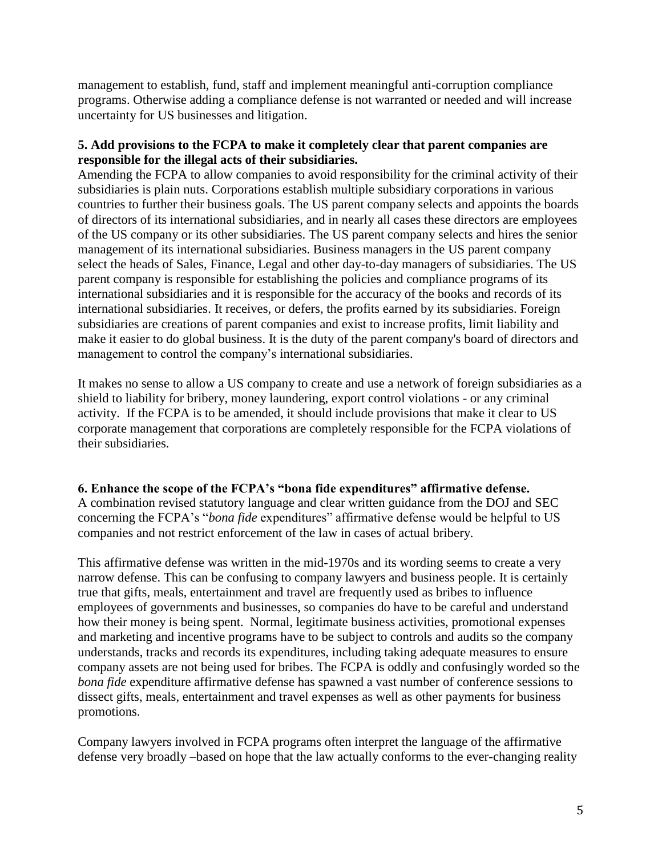management to establish, fund, staff and implement meaningful anti-corruption compliance programs. Otherwise adding a compliance defense is not warranted or needed and will increase uncertainty for US businesses and litigation.

# **5. Add provisions to the FCPA to make it completely clear that parent companies are responsible for the illegal acts of their subsidiaries.**

Amending the FCPA to allow companies to avoid responsibility for the criminal activity of their subsidiaries is plain nuts. Corporations establish multiple subsidiary corporations in various countries to further their business goals. The US parent company selects and appoints the boards of directors of its international subsidiaries, and in nearly all cases these directors are employees of the US company or its other subsidiaries. The US parent company selects and hires the senior management of its international subsidiaries. Business managers in the US parent company select the heads of Sales, Finance, Legal and other day-to-day managers of subsidiaries. The US parent company is responsible for establishing the policies and compliance programs of its international subsidiaries and it is responsible for the accuracy of the books and records of its international subsidiaries. It receives, or defers, the profits earned by its subsidiaries. Foreign subsidiaries are creations of parent companies and exist to increase profits, limit liability and make it easier to do global business. It is the duty of the parent company's board of directors and management to control the company's international subsidiaries.

It makes no sense to allow a US company to create and use a network of foreign subsidiaries as a shield to liability for bribery, money laundering, export control violations - or any criminal activity. If the FCPA is to be amended, it should include provisions that make it clear to US corporate management that corporations are completely responsible for the FCPA violations of their subsidiaries.

# **6. Enhance the scope of the FCPA's "bona fide expenditures" affirmative defense.**

A combination revised statutory language and clear written guidance from the DOJ and SEC concerning the FCPA's "*bona fide* expenditures" affirmative defense would be helpful to US companies and not restrict enforcement of the law in cases of actual bribery.

This affirmative defense was written in the mid-1970s and its wording seems to create a very narrow defense. This can be confusing to company lawyers and business people. It is certainly true that gifts, meals, entertainment and travel are frequently used as bribes to influence employees of governments and businesses, so companies do have to be careful and understand how their money is being spent. Normal, legitimate business activities, promotional expenses and marketing and incentive programs have to be subject to controls and audits so the company understands, tracks and records its expenditures, including taking adequate measures to ensure company assets are not being used for bribes. The FCPA is oddly and confusingly worded so the *bona fide* expenditure affirmative defense has spawned a vast number of conference sessions to dissect gifts, meals, entertainment and travel expenses as well as other payments for business promotions.

Company lawyers involved in FCPA programs often interpret the language of the affirmative defense very broadly –based on hope that the law actually conforms to the ever-changing reality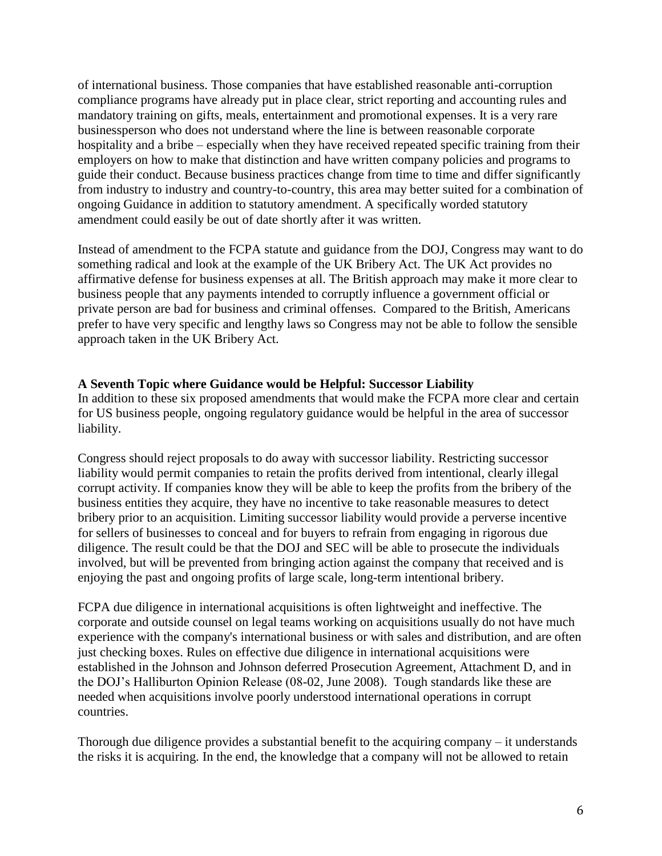of international business. Those companies that have established reasonable anti-corruption compliance programs have already put in place clear, strict reporting and accounting rules and mandatory training on gifts, meals, entertainment and promotional expenses. It is a very rare businessperson who does not understand where the line is between reasonable corporate hospitality and a bribe – especially when they have received repeated specific training from their employers on how to make that distinction and have written company policies and programs to guide their conduct. Because business practices change from time to time and differ significantly from industry to industry and country-to-country, this area may better suited for a combination of ongoing Guidance in addition to statutory amendment. A specifically worded statutory amendment could easily be out of date shortly after it was written.

Instead of amendment to the FCPA statute and guidance from the DOJ, Congress may want to do something radical and look at the example of the UK Bribery Act. The UK Act provides no affirmative defense for business expenses at all. The British approach may make it more clear to business people that any payments intended to corruptly influence a government official or private person are bad for business and criminal offenses. Compared to the British, Americans prefer to have very specific and lengthy laws so Congress may not be able to follow the sensible approach taken in the UK Bribery Act.

## **A Seventh Topic where Guidance would be Helpful: Successor Liability**

In addition to these six proposed amendments that would make the FCPA more clear and certain for US business people, ongoing regulatory guidance would be helpful in the area of successor liability.

Congress should reject proposals to do away with successor liability. Restricting successor liability would permit companies to retain the profits derived from intentional, clearly illegal corrupt activity. If companies know they will be able to keep the profits from the bribery of the business entities they acquire, they have no incentive to take reasonable measures to detect bribery prior to an acquisition. Limiting successor liability would provide a perverse incentive for sellers of businesses to conceal and for buyers to refrain from engaging in rigorous due diligence. The result could be that the DOJ and SEC will be able to prosecute the individuals involved, but will be prevented from bringing action against the company that received and is enjoying the past and ongoing profits of large scale, long-term intentional bribery.

FCPA due diligence in international acquisitions is often lightweight and ineffective. The corporate and outside counsel on legal teams working on acquisitions usually do not have much experience with the company's international business or with sales and distribution, and are often just checking boxes. Rules on effective due diligence in international acquisitions were established in the Johnson and Johnson deferred Prosecution Agreement, Attachment D, and in the DOJ's Halliburton Opinion Release (08-02, June 2008). Tough standards like these are needed when acquisitions involve poorly understood international operations in corrupt countries.

Thorough due diligence provides a substantial benefit to the acquiring company – it understands the risks it is acquiring. In the end, the knowledge that a company will not be allowed to retain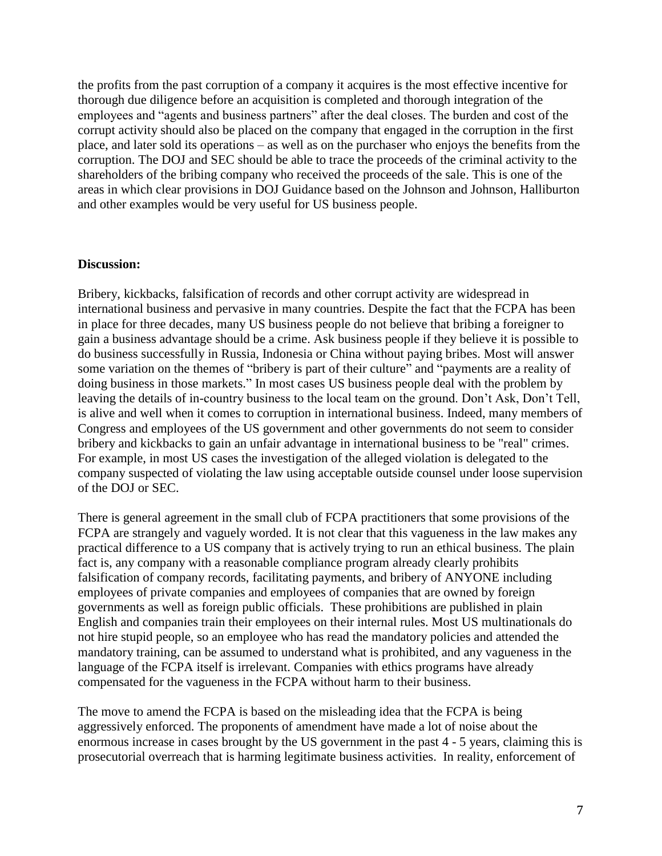the profits from the past corruption of a company it acquires is the most effective incentive for thorough due diligence before an acquisition is completed and thorough integration of the employees and "agents and business partners" after the deal closes. The burden and cost of the corrupt activity should also be placed on the company that engaged in the corruption in the first place, and later sold its operations – as well as on the purchaser who enjoys the benefits from the corruption. The DOJ and SEC should be able to trace the proceeds of the criminal activity to the shareholders of the bribing company who received the proceeds of the sale. This is one of the areas in which clear provisions in DOJ Guidance based on the Johnson and Johnson, Halliburton and other examples would be very useful for US business people.

#### **Discussion:**

Bribery, kickbacks, falsification of records and other corrupt activity are widespread in international business and pervasive in many countries. Despite the fact that the FCPA has been in place for three decades, many US business people do not believe that bribing a foreigner to gain a business advantage should be a crime. Ask business people if they believe it is possible to do business successfully in Russia, Indonesia or China without paying bribes. Most will answer some variation on the themes of "bribery is part of their culture" and "payments are a reality of doing business in those markets." In most cases US business people deal with the problem by leaving the details of in-country business to the local team on the ground. Don't Ask, Don't Tell, is alive and well when it comes to corruption in international business. Indeed, many members of Congress and employees of the US government and other governments do not seem to consider bribery and kickbacks to gain an unfair advantage in international business to be "real" crimes. For example, in most US cases the investigation of the alleged violation is delegated to the company suspected of violating the law using acceptable outside counsel under loose supervision of the DOJ or SEC.

There is general agreement in the small club of FCPA practitioners that some provisions of the FCPA are strangely and vaguely worded. It is not clear that this vagueness in the law makes any practical difference to a US company that is actively trying to run an ethical business. The plain fact is, any company with a reasonable compliance program already clearly prohibits falsification of company records, facilitating payments, and bribery of ANYONE including employees of private companies and employees of companies that are owned by foreign governments as well as foreign public officials. These prohibitions are published in plain English and companies train their employees on their internal rules. Most US multinationals do not hire stupid people, so an employee who has read the mandatory policies and attended the mandatory training, can be assumed to understand what is prohibited, and any vagueness in the language of the FCPA itself is irrelevant. Companies with ethics programs have already compensated for the vagueness in the FCPA without harm to their business.

The move to amend the FCPA is based on the misleading idea that the FCPA is being aggressively enforced. The proponents of amendment have made a lot of noise about the enormous increase in cases brought by the US government in the past 4 - 5 years, claiming this is prosecutorial overreach that is harming legitimate business activities. In reality, enforcement of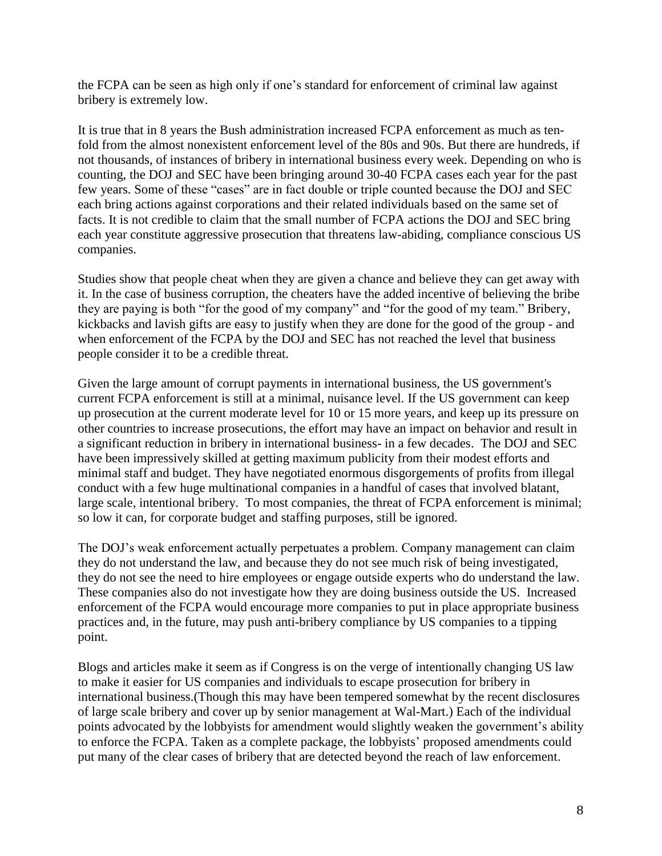the FCPA can be seen as high only if one's standard for enforcement of criminal law against bribery is extremely low.

It is true that in 8 years the Bush administration increased FCPA enforcement as much as tenfold from the almost nonexistent enforcement level of the 80s and 90s. But there are hundreds, if not thousands, of instances of bribery in international business every week. Depending on who is counting, the DOJ and SEC have been bringing around 30-40 FCPA cases each year for the past few years. Some of these "cases" are in fact double or triple counted because the DOJ and SEC each bring actions against corporations and their related individuals based on the same set of facts. It is not credible to claim that the small number of FCPA actions the DOJ and SEC bring each year constitute aggressive prosecution that threatens law-abiding, compliance conscious US companies.

Studies show that people cheat when they are given a chance and believe they can get away with it. In the case of business corruption, the cheaters have the added incentive of believing the bribe they are paying is both "for the good of my company" and "for the good of my team." Bribery, kickbacks and lavish gifts are easy to justify when they are done for the good of the group - and when enforcement of the FCPA by the DOJ and SEC has not reached the level that business people consider it to be a credible threat.

Given the large amount of corrupt payments in international business, the US government's current FCPA enforcement is still at a minimal, nuisance level. If the US government can keep up prosecution at the current moderate level for 10 or 15 more years, and keep up its pressure on other countries to increase prosecutions, the effort may have an impact on behavior and result in a significant reduction in bribery in international business- in a few decades. The DOJ and SEC have been impressively skilled at getting maximum publicity from their modest efforts and minimal staff and budget. They have negotiated enormous disgorgements of profits from illegal conduct with a few huge multinational companies in a handful of cases that involved blatant, large scale, intentional bribery. To most companies, the threat of FCPA enforcement is minimal; so low it can, for corporate budget and staffing purposes, still be ignored.

The DOJ's weak enforcement actually perpetuates a problem. Company management can claim they do not understand the law, and because they do not see much risk of being investigated, they do not see the need to hire employees or engage outside experts who do understand the law. These companies also do not investigate how they are doing business outside the US. Increased enforcement of the FCPA would encourage more companies to put in place appropriate business practices and, in the future, may push anti-bribery compliance by US companies to a tipping point.

Blogs and articles make it seem as if Congress is on the verge of intentionally changing US law to make it easier for US companies and individuals to escape prosecution for bribery in international business.(Though this may have been tempered somewhat by the recent disclosures of large scale bribery and cover up by senior management at Wal-Mart.) Each of the individual points advocated by the lobbyists for amendment would slightly weaken the government's ability to enforce the FCPA. Taken as a complete package, the lobbyists' proposed amendments could put many of the clear cases of bribery that are detected beyond the reach of law enforcement.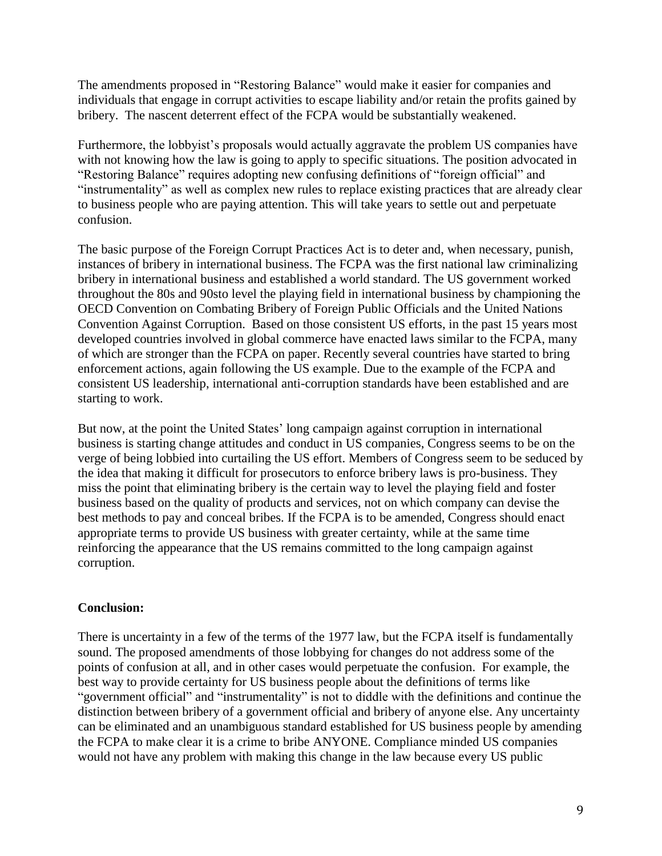The amendments proposed in "Restoring Balance" would make it easier for companies and individuals that engage in corrupt activities to escape liability and/or retain the profits gained by bribery. The nascent deterrent effect of the FCPA would be substantially weakened.

Furthermore, the lobbyist's proposals would actually aggravate the problem US companies have with not knowing how the law is going to apply to specific situations. The position advocated in "Restoring Balance" requires adopting new confusing definitions of "foreign official" and "instrumentality" as well as complex new rules to replace existing practices that are already clear to business people who are paying attention. This will take years to settle out and perpetuate confusion.

The basic purpose of the Foreign Corrupt Practices Act is to deter and, when necessary, punish, instances of bribery in international business. The FCPA was the first national law criminalizing bribery in international business and established a world standard. The US government worked throughout the 80s and 90sto level the playing field in international business by championing the OECD Convention on Combating Bribery of Foreign Public Officials and the United Nations Convention Against Corruption. Based on those consistent US efforts, in the past 15 years most developed countries involved in global commerce have enacted laws similar to the FCPA, many of which are stronger than the FCPA on paper. Recently several countries have started to bring enforcement actions, again following the US example. Due to the example of the FCPA and consistent US leadership, international anti-corruption standards have been established and are starting to work.

But now, at the point the United States' long campaign against corruption in international business is starting change attitudes and conduct in US companies, Congress seems to be on the verge of being lobbied into curtailing the US effort. Members of Congress seem to be seduced by the idea that making it difficult for prosecutors to enforce bribery laws is pro-business. They miss the point that eliminating bribery is the certain way to level the playing field and foster business based on the quality of products and services, not on which company can devise the best methods to pay and conceal bribes. If the FCPA is to be amended, Congress should enact appropriate terms to provide US business with greater certainty, while at the same time reinforcing the appearance that the US remains committed to the long campaign against corruption.

# **Conclusion:**

There is uncertainty in a few of the terms of the 1977 law, but the FCPA itself is fundamentally sound. The proposed amendments of those lobbying for changes do not address some of the points of confusion at all, and in other cases would perpetuate the confusion. For example, the best way to provide certainty for US business people about the definitions of terms like "government official" and "instrumentality" is not to diddle with the definitions and continue the distinction between bribery of a government official and bribery of anyone else. Any uncertainty can be eliminated and an unambiguous standard established for US business people by amending the FCPA to make clear it is a crime to bribe ANYONE. Compliance minded US companies would not have any problem with making this change in the law because every US public